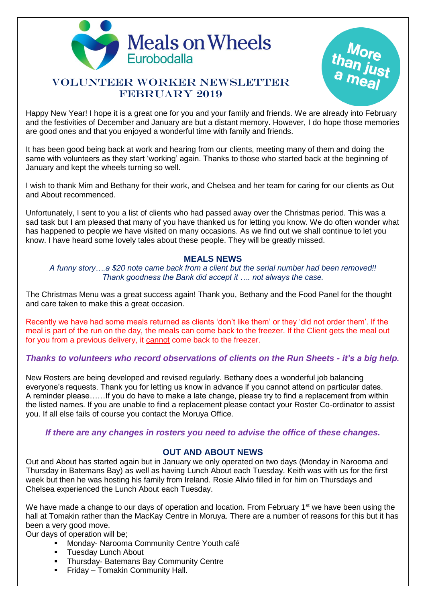

# VOLUNTEER WORKER NEWSLETTER FEBRUARY 2019



Happy New Year! I hope it is a great one for you and your family and friends. We are already into February and the festivities of December and January are but a distant memory. However, I do hope those memories are good ones and that you enjoyed a wonderful time with family and friends.

It has been good being back at work and hearing from our clients, meeting many of them and doing the same with volunteers as they start 'working' again. Thanks to those who started back at the beginning of January and kept the wheels turning so well.

I wish to thank Mim and Bethany for their work, and Chelsea and her team for caring for our clients as Out and About recommenced.

Unfortunately, I sent to you a list of clients who had passed away over the Christmas period. This was a sad task but I am pleased that many of you have thanked us for letting you know. We do often wonder what has happened to people we have visited on many occasions. As we find out we shall continue to let you know. I have heard some lovely tales about these people. They will be greatly missed.

### **MEALS NEWS**

*A funny story….a \$20 note came back from a client but the serial number had been removed!! Thank goodness the Bank did accept it …. not always the case.*

The Christmas Menu was a great success again! Thank you, Bethany and the Food Panel for the thought and care taken to make this a great occasion.

Recently we have had some meals returned as clients 'don't like them' or they 'did not order them'. If the meal is part of the run on the day, the meals can come back to the freezer. If the Client gets the meal out for you from a previous delivery, it cannot come back to the freezer.

## *Thanks to volunteers who record observations of clients on the Run Sheets - it's a big help.*

New Rosters are being developed and revised regularly. Bethany does a wonderful job balancing everyone's requests. Thank you for letting us know in advance if you cannot attend on particular dates. A reminder please……If you do have to make a late change, please try to find a replacement from within the listed names. If you are unable to find a replacement please contact your Roster Co-ordinator to assist you. If all else fails of course you contact the Moruya Office.

#### *If there are any changes in rosters you need to advise the office of these changes.*

## **OUT AND ABOUT NEWS**

Out and About has started again but in January we only operated on two days (Monday in Narooma and Thursday in Batemans Bay) as well as having Lunch About each Tuesday. Keith was with us for the first week but then he was hosting his family from Ireland. Rosie Alivio filled in for him on Thursdays and Chelsea experienced the Lunch About each Tuesday.

We have made a change to our days of operation and location. From February 1<sup>st</sup> we have been using the hall at Tomakin rather than the MacKay Centre in Moruya. There are a number of reasons for this but it has been a very good move.

Our days of operation will be;

- Monday- Narooma Community Centre Youth café
- Tuesday Lunch About
- Thursday- Batemans Bay Community Centre
- Friday Tomakin Community Hall.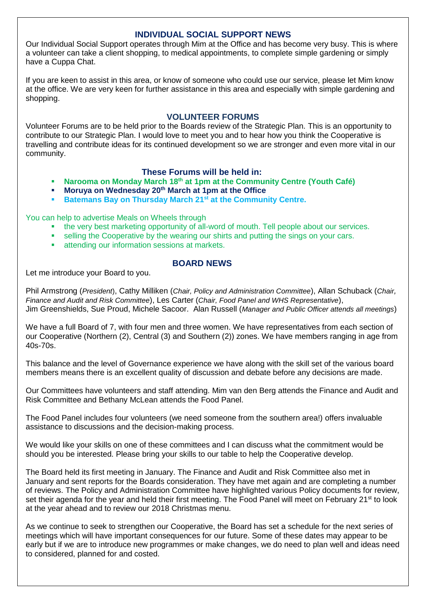## **INDIVIDUAL SOCIAL SUPPORT NEWS**

Our Individual Social Support operates through Mim at the Office and has become very busy. This is where a volunteer can take a client shopping, to medical appointments, to complete simple gardening or simply have a Cuppa Chat.

If you are keen to assist in this area, or know of someone who could use our service, please let Mim know at the office. We are very keen for further assistance in this area and especially with simple gardening and shopping.

#### **VOLUNTEER FORUMS**

Volunteer Forums are to be held prior to the Boards review of the Strategic Plan. This is an opportunity to contribute to our Strategic Plan. I would love to meet you and to hear how you think the Cooperative is travelling and contribute ideas for its continued development so we are stronger and even more vital in our community.

### **These Forums will be held in:**

- **Narooma on Monday March 18th at 1pm at the Community Centre (Youth Café)**
- **Moruya on Wednesday 20th March at 1pm at the Office**
- **Batemans Bay on Thursday March 21st at the Community Centre.**

You can help to advertise Meals on Wheels through

- the very best marketing opportunity of all-word of mouth. Tell people about our services.
- **•** selling the Cooperative by the wearing our shirts and putting the sings on your cars.
- attending our information sessions at markets.

## **BOARD NEWS**

Let me introduce your Board to you.

Phil Armstrong (*President*), Cathy Milliken (*Chair, Policy and Administration Committee*), Allan Schuback (*Chair, Finance and Audit and Risk Committee*), Les Carter (*Chair, Food Panel and WHS Representative*), Jim Greenshields, Sue Proud, Michele Sacoor. Alan Russell (*Manager and Public Officer attends all meetings*)

We have a full Board of 7, with four men and three women. We have representatives from each section of our Cooperative (Northern (2), Central (3) and Southern (2)) zones. We have members ranging in age from 40s-70s.

This balance and the level of Governance experience we have along with the skill set of the various board members means there is an excellent quality of discussion and debate before any decisions are made.

Our Committees have volunteers and staff attending. Mim van den Berg attends the Finance and Audit and Risk Committee and Bethany McLean attends the Food Panel.

The Food Panel includes four volunteers (we need someone from the southern area!) offers invaluable assistance to discussions and the decision-making process.

We would like your skills on one of these committees and I can discuss what the commitment would be should you be interested. Please bring your skills to our table to help the Cooperative develop.

The Board held its first meeting in January. The Finance and Audit and Risk Committee also met in January and sent reports for the Boards consideration. They have met again and are completing a number of reviews. The Policy and Administration Committee have highlighted various Policy documents for review, set their agenda for the year and held their first meeting. The Food Panel will meet on February 21<sup>st</sup> to look at the year ahead and to review our 2018 Christmas menu.

As we continue to seek to strengthen our Cooperative, the Board has set a schedule for the next series of meetings which will have important consequences for our future. Some of these dates may appear to be early but if we are to introduce new programmes or make changes, we do need to plan well and ideas need to considered, planned for and costed.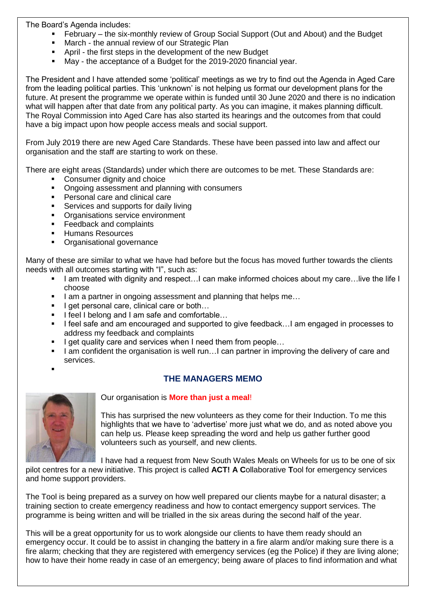The Board's Agenda includes:

- February the six-monthly review of Group Social Support (Out and About) and the Budget
- **■** March the annual review of our Strategic Plan
- April the first steps in the development of the new Budget
- May the acceptance of a Budget for the 2019-2020 financial year.

The President and I have attended some 'political' meetings as we try to find out the Agenda in Aged Care from the leading political parties. This 'unknown' is not helping us format our development plans for the future. At present the programme we operate within is funded until 30 June 2020 and there is no indication what will happen after that date from any political party. As you can imagine, it makes planning difficult. The Royal Commission into Aged Care has also started its hearings and the outcomes from that could have a big impact upon how people access meals and social support.

From July 2019 there are new Aged Care Standards. These have been passed into law and affect our organisation and the staff are starting to work on these.

There are eight areas (Standards) under which there are outcomes to be met. These Standards are:

- Consumer dignity and choice
- Ongoing assessment and planning with consumers
- Personal care and clinical care
- Services and supports for daily living
- **Organisations service environment**
- Feedback and complaints
- Humans Resources
- Organisational governance

Many of these are similar to what we have had before but the focus has moved further towards the clients needs with all outcomes starting with "I", such as:

- I am treated with dignity and respect…I can make informed choices about my care…live the life I choose
- I am a partner in ongoing assessment and planning that helps me...
- I get personal care, clinical care or both...
- I feel I belong and I am safe and comfortable...
- I feel safe and am encouraged and supported to give feedback…I am engaged in processes to address my feedback and complaints
- I get quality care and services when I need them from people...
- I am confident the organisation is well run...I can partner in improving the delivery of care and services.
- ▪

## **THE MANAGERS MEMO**



Our organisation is **More than just a meal**!

This has surprised the new volunteers as they come for their Induction. To me this highlights that we have to 'advertise' more just what we do, and as noted above you can help us. Please keep spreading the word and help us gather further good volunteers such as yourself, and new clients.

I have had a request from New South Wales Meals on Wheels for us to be one of six

pilot centres for a new initiative. This project is called **ACT! A C**ollaborative **T**ool for emergency services and home support providers.

The Tool is being prepared as a survey on how well prepared our clients maybe for a natural disaster; a training section to create emergency readiness and how to contact emergency support services. The programme is being written and will be trialled in the six areas during the second half of the year.

This will be a great opportunity for us to work alongside our clients to have them ready should an emergency occur. It could be to assist in changing the battery in a fire alarm and/or making sure there is a fire alarm; checking that they are registered with emergency services (eg the Police) if they are living alone; how to have their home ready in case of an emergency; being aware of places to find information and what